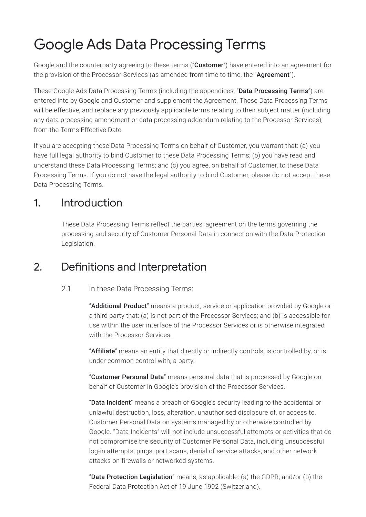# Google Ads Data Processing Terms

Google and the counterparty agreeing to these terms ("**Customer**") have entered into an agreement for the provision of the Processor Services (as amended from time to time, the "Agreement").

These Google Ads Data Processing Terms (including the appendices, "**Data Processing Terms**") are entered into by Google and Customer and supplement the Agreement. These Data Processing Terms will be effective, and replace any previously applicable terms relating to their subject matter (including any data processing amendment or data processing addendum relating to the Processor Services), from the Terms Effective Date.

If you are accepting these Data Processing Terms on behalf of Customer, you warrant that: (a) you have full legal authority to bind Customer to these Data Processing Terms; (b) you have read and understand these Data Processing Terms; and (c) you agree, on behalf of Customer, to these Data Processing Terms. If you do not have the legal authority to bind Customer, please do not accept these Data Processing Terms.

### 1. Introduction

These Data Processing Terms reflect the parties' agreement on the terms governing the processing and security of Customer Personal Data in connection with the Data Protection Legislation.

# 2. Definitions and Interpretation

### 2.1 In these Data Processing Terms:

"Additional Product" means a product, service or application provided by Google or a third party that: (a) is not part of the Processor Services; and (b) is accessible for use within the user interface of the Processor Services or is otherwise integrated with the Processor Services.

"Affiliate" means an entity that directly or indirectly controls, is controlled by, or is under common control with, a party.

"Customer Personal Data" means personal data that is processed by Google on behalf of Customer in Google's provision of the Processor Services.

"Data Incident" means a breach of Google's security leading to the accidental or unlawful destruction, loss, alteration, unauthorised disclosure of, or access to, Customer Personal Data on systems managed by or otherwise controlled by Google. "Data Incidents" will not include unsuccessful attempts or activities that do not compromise the security of Customer Personal Data, including unsuccessful log-in attempts, pings, port scans, denial of service attacks, and other network attacks on firewalls or networked systems.

"Data Protection Legislation" means, as applicable: (a) the GDPR; and/or (b) the Federal Data Protection Act of 19 June 1992 (Switzerland).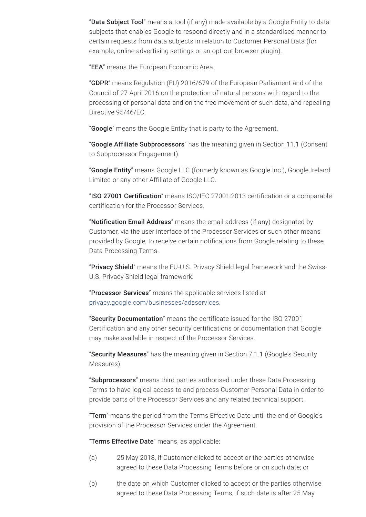"Data Subject Tool" means a tool (if any) made available by a Google Entity to data subjects that enables Google to respond directly and in a standardised manner to certain requests from data subjects in relation to Customer Personal Data (for example, online advertising settings or an opt-out browser plugin).

"EEA" means the European Economic Area.

"GDPR" means Regulation (EU) 2016/679 of the European Parliament and of the Council of 27 April 2016 on the protection of natural persons with regard to the processing of personal data and on the free movement of such data, and repealing Directive 95/46/EC.

"**Google**" means the Google Entity that is party to the Agreement.

"Google Affiliate Subprocessors" has the meaning given in Section 11.1 (Consent to Subprocessor Engagement).

"Google Entity" means Google LLC (formerly known as Google Inc.), Google Ireland Limited or any other Affiliate of Google LLC.

"ISO 27001 Certification" means ISO/IEC 27001:2013 certification or a comparable certification for the Processor Services.

"Notification Email Address" means the email address (if any) designated by Customer, via the user interface of the Processor Services or such other means provided by Google, to receive certain notifications from Google relating to these Data Processing Terms.

"Privacy Shield" means the EU-U.S. Privacy Shield legal framework and the Swiss-U.S. Privacy Shield legal framework.

"Processor Services" means the applicable services listed at [privacy.google.com/businesses/adsservices](https://privacy.google.com/businesses/adsservices/).

"Security Documentation" means the certificate issued for the ISO 27001 Certification and any other security certifications or documentation that Google may make available in respect of the Processor Services.

"Security Measures" has the meaning given in Section 7.1.1 (Google's Security Measures).

"Subprocessors" means third parties authorised under these Data Processing Terms to have logical access to and process Customer Personal Data in order to provide parts of the Processor Services and any related technical support.

"Term" means the period from the Terms Effective Date until the end of Google's provision of the Processor Services under the Agreement.

"Terms Effective Date" means, as applicable:

- (a) 25 May 2018, if Customer clicked to accept or the parties otherwise agreed to these Data Processing Terms before or on such date; or
- (b) the date on which Customer clicked to accept or the parties otherwise agreed to these Data Processing Terms, if such date is after 25 May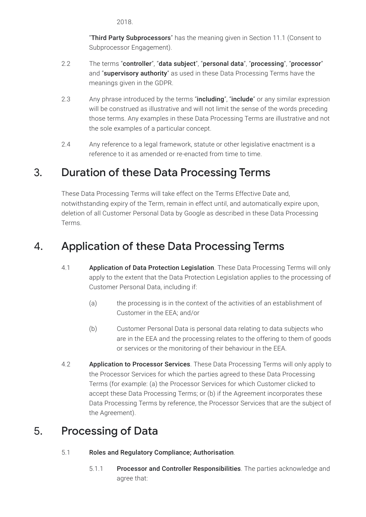2018.

"Third Party Subprocessors" has the meaning given in Section 11.1 (Consent to Subprocessor Engagement).

- 2.2 The terms "controller", "data subject", "personal data", "processing", "processor" and "supervisory authority" as used in these Data Processing Terms have the meanings given in the GDPR.
- 2.3 Any phrase introduced by the terms "including", "include" or any similar expression will be construed as illustrative and will not limit the sense of the words preceding those terms. Any examples in these Data Processing Terms are illustrative and not the sole examples of a particular concept.
- 2.4 Any reference to a legal framework, statute or other legislative enactment is a reference to it as amended or re-enacted from time to time.

# 3. Duration of these Data Processing Terms

These Data Processing Terms will take effect on the Terms Effective Date and, notwithstanding expiry of the Term, remain in effect until, and automatically expire upon, deletion of all Customer Personal Data by Google as described in these Data Processing Terms.

# 4. Application of these Data Processing Terms

- 4.1 **Application of Data Protection Legislation**. These Data Processing Terms will only apply to the extent that the Data Protection Legislation applies to the processing of Customer Personal Data, including if:
	- (a) the processing is in the context of the activities of an establishment of Customer in the EEA; and/or
	- (b) Customer Personal Data is personal data relating to data subjects who are in the EEA and the processing relates to the offering to them of goods or services or the monitoring of their behaviour in the EEA.
- 4.2 **Application to Processor Services**. These Data Processing Terms will only apply to the Processor Services for which the parties agreed to these Data Processing Terms (for example: (a) the Processor Services for which Customer clicked to accept these Data Processing Terms; or (b) if the Agreement incorporates these Data Processing Terms by reference, the Processor Services that are the subject of the Agreement).

# 5. Processing of Data

- 5.1 Roles and Regulatory Compliance; Authorisation.
	- 5.1.1 Processor and Controller Responsibilities. The parties acknowledge and agree that: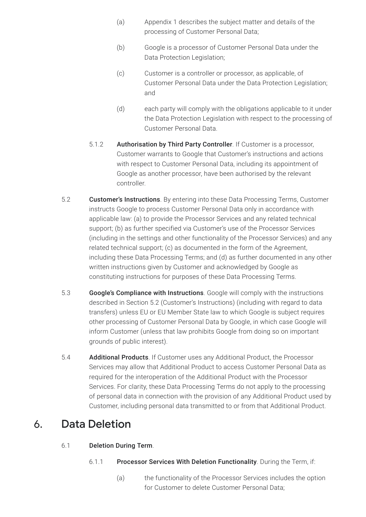- (a) Appendix 1 describes the subject matter and details of the processing of Customer Personal Data;
- (b) Google is a processor of Customer Personal Data under the Data Protection Legislation;
- (c) Customer is a controller or processor, as applicable, of Customer Personal Data under the Data Protection Legislation; and
- (d) each party will comply with the obligations applicable to it under the Data Protection Legislation with respect to the processing of Customer Personal Data.
- 5.1.2 Authorisation by Third Party Controller. If Customer is a processor, Customer warrants to Google that Customer's instructions and actions with respect to Customer Personal Data, including its appointment of Google as another processor, have been authorised by the relevant controller.
- 5.2 **Customer's Instructions**. By entering into these Data Processing Terms, Customer instructs Google to process Customer Personal Data only in accordance with applicable law: (a) to provide the Processor Services and any related technical support; (b) as further specified via Customer's use of the Processor Services (including in the settings and other functionality of the Processor Services) and any related technical support; (c) as documented in the form of the Agreement, including these Data Processing Terms; and (d) as further documented in any other written instructions given by Customer and acknowledged by Google as constituting instructions for purposes of these Data Processing Terms.
- 5.3 Google's Compliance with Instructions. Google will comply with the instructions described in Section 5.2 (Customer's Instructions) (including with regard to data transfers) unless EU or EU Member State law to which Google is subject requires other processing of Customer Personal Data by Google, in which case Google will inform Customer (unless that law prohibits Google from doing so on important grounds of public interest).
- 5.4 **Additional Products**. If Customer uses any Additional Product, the Processor Services may allow that Additional Product to access Customer Personal Data as required for the interoperation of the Additional Product with the Processor Services. For clarity, these Data Processing Terms do not apply to the processing of personal data in connection with the provision of any Additional Product used by Customer, including personal data transmitted to or from that Additional Product.

# 6. Data Deletion

### 6.1 Deletion During Term.

- 6.1.1 Processor Services With Deletion Functionality. During the Term, if:
	- (a) the functionality of the Processor Services includes the option for Customer to delete Customer Personal Data;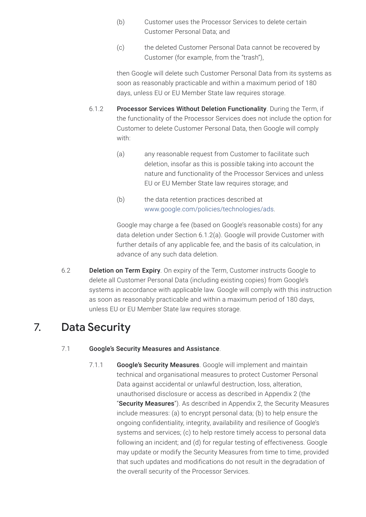- (b) Customer uses the Processor Services to delete certain Customer Personal Data; and
- (c) the deleted Customer Personal Data cannot be recovered by Customer (for example, from the "trash"),

then Google will delete such Customer Personal Data from its systems as soon as reasonably practicable and within a maximum period of 180 days, unless EU or EU Member State law requires storage.

- 6.1.2 Processor Services Without Deletion Functionality. During the Term, if the functionality of the Processor Services does not include the option for Customer to delete Customer Personal Data, then Google will comply with:
	- (a) any reasonable request from Customer to facilitate such deletion, insofar as this is possible taking into account the nature and functionality of the Processor Services and unless EU or EU Member State law requires storage; and
	- (b) the data retention practices described at [www.google.com/policies/technologies/ads](https://www.google.com/policies/technologies/ads).

Google may charge a fee (based on Google's reasonable costs) for any data deletion under Section 6.1.2(a). Google will provide Customer with further details of any applicable fee, and the basis of its calculation, in advance of any such data deletion.

6.2 **Deletion on Term Expiry**. On expiry of the Term, Customer instructs Google to delete all Customer Personal Data (including existing copies) from Google's systems in accordance with applicable law. Google will comply with this instruction as soon as reasonably practicable and within a maximum period of 180 days, unless EU or EU Member State law requires storage.

# 7. Data Security

### 7.1 Google's Security Measures and Assistance.

7.1.1 Google's Security Measures. Google will implement and maintain technical and organisational measures to protect Customer Personal Data against accidental or unlawful destruction, loss, alteration, unauthorised disclosure or access as described in Appendix 2 (the "Security Measures"). As described in Appendix 2, the Security Measures include measures: (a) to encrypt personal data; (b) to help ensure the ongoing confidentiality, integrity, availability and resilience of Google's systems and services; (c) to help restore timely access to personal data following an incident; and (d) for regular testing of effectiveness. Google may update or modify the Security Measures from time to time, provided that such updates and modifications do not result in the degradation of the overall security of the Processor Services.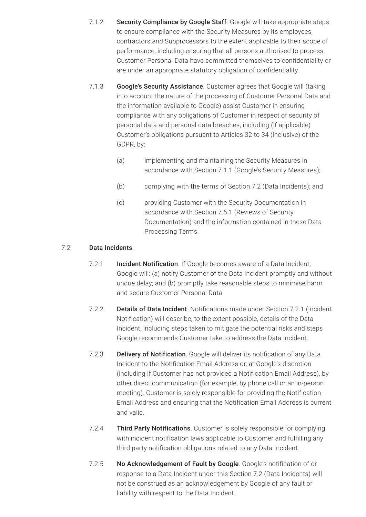- 7.1.2 Security Compliance by Google Staff. Google will take appropriate steps to ensure compliance with the Security Measures by its employees, contractors and Subprocessors to the extent applicable to their scope of performance, including ensuring that all persons authorised to process Customer Personal Data have committed themselves to confidentiality or are under an appropriate statutory obligation of confidentiality.
- 7.1.3 Google's Security Assistance. Customer agrees that Google will (taking into account the nature of the processing of Customer Personal Data and the information available to Google) assist Customer in ensuring compliance with any obligations of Customer in respect of security of personal data and personal data breaches, including (if applicable) Customer's obligations pursuant to Articles 32 to 34 (inclusive) of the GDPR, by:
	- (a) implementing and maintaining the Security Measures in accordance with Section 7.1.1 (Google's Security Measures);
	- (b) complying with the terms of Section 7.2 (Data Incidents); and
	- (c) providing Customer with the Security Documentation in accordance with Section 7.5.1 (Reviews of Security Documentation) and the information contained in these Data Processing Terms.

#### 7.2 Data Incidents.

- 7.2.1 **Incident Notification**. If Google becomes aware of a Data Incident, Google will: (a) notify Customer of the Data Incident promptly and without undue delay; and (b) promptly take reasonable steps to minimise harm and secure Customer Personal Data.
- 7.2.2 Details of Data Incident. Notifications made under Section 7.2.1 (Incident Notification) will describe, to the extent possible, details of the Data Incident, including steps taken to mitigate the potential risks and steps Google recommends Customer take to address the Data Incident.
- 7.2.3 Delivery of Notification. Google will deliver its notification of any Data Incident to the Notification Email Address or, at Google's discretion (including if Customer has not provided a Notification Email Address), by other direct communication (for example, by phone call or an in-person meeting). Customer is solely responsible for providing the Notification Email Address and ensuring that the Notification Email Address is current and valid.
- 7.2.4 Third Party Notifications. Customer is solely responsible for complying with incident notification laws applicable to Customer and fulfilling any third party notification obligations related to any Data Incident.
- 7.2.5 No Acknowledgement of Fault by Google. Google's notification of or response to a Data Incident under this Section 7.2 (Data Incidents) will not be construed as an acknowledgement by Google of any fault or liability with respect to the Data Incident.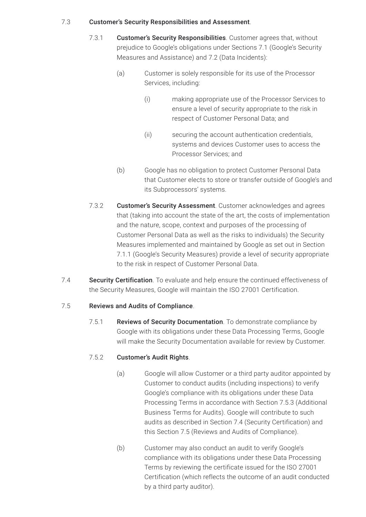#### 7.3 Customer's Security Responsibilities and Assessment.

- 7.3.1 Customer's Security Responsibilities. Customer agrees that, without prejudice to Google's obligations under Sections 7.1 (Google's Security Measures and Assistance) and 7.2 (Data Incidents):
	- (a) Customer is solely responsible for its use of the Processor Services, including:
		- (i) making appropriate use of the Processor Services to ensure a level of security appropriate to the risk in respect of Customer Personal Data; and
		- (ii) securing the account authentication credentials, systems and devices Customer uses to access the Processor Services; and
	- (b) Google has no obligation to protect Customer Personal Data that Customer elects to store or transfer outside of Google's and its Subprocessors' systems.
- 7.3.2 Customer's Security Assessment. Customer acknowledges and agrees that (taking into account the state of the art, the costs of implementation and the nature, scope, context and purposes of the processing of Customer Personal Data as well as the risks to individuals) the Security Measures implemented and maintained by Google as set out in Section 7.1.1 (Google's Security Measures) provide a level of security appropriate to the risk in respect of Customer Personal Data.
- 7.4 Security Certification. To evaluate and help ensure the continued effectiveness of the Security Measures, Google will maintain the ISO 27001 Certification.

### 7.5 Reviews and Audits of Compliance.

7.5.1 Reviews of Security Documentation. To demonstrate compliance by Google with its obligations under these Data Processing Terms, Google will make the Security Documentation available for review by Customer.

#### 7.5.2 Customer's Audit Rights.

- (a) Google will allow Customer or a third party auditor appointed by Customer to conduct audits (including inspections) to verify Google's compliance with its obligations under these Data Processing Terms in accordance with Section 7.5.3 (Additional Business Terms for Audits). Google will contribute to such audits as described in Section 7.4 (Security Certification) and this Section 7.5 (Reviews and Audits of Compliance).
- (b) Customer may also conduct an audit to verify Google's compliance with its obligations under these Data Processing Terms by reviewing the certificate issued for the ISO 27001 Certification (which reflects the outcome of an audit conducted by a third party auditor).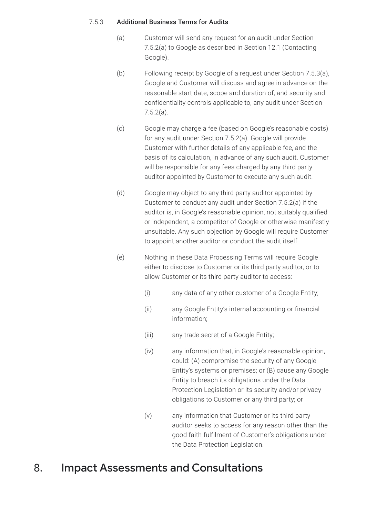#### 7.5.3 Additional Business Terms for Audits.

- (a) Customer will send any request for an audit under Section 7.5.2(a) to Google as described in Section 12.1 (Contacting Google).
- (b) Following receipt by Google of a request under Section 7.5.3(a), Google and Customer will discuss and agree in advance on the reasonable start date, scope and duration of, and security and confidentiality controls applicable to, any audit under Section 7.5.2(a).
- (c) Google may charge a fee (based on Google's reasonable costs) for any audit under Section 7.5.2(a). Google will provide Customer with further details of any applicable fee, and the basis of its calculation, in advance of any such audit. Customer will be responsible for any fees charged by any third party auditor appointed by Customer to execute any such audit.
- (d) Google may object to any third party auditor appointed by Customer to conduct any audit under Section 7.5.2(a) if the auditor is, in Google's reasonable opinion, not suitably qualified or independent, a competitor of Google or otherwise manifestly unsuitable. Any such objection by Google will require Customer to appoint another auditor or conduct the audit itself.
- (e) Nothing in these Data Processing Terms will require Google either to disclose to Customer or its third party auditor, or to allow Customer or its third party auditor to access:
	- (i) any data of any other customer of a Google Entity;
	- (ii) any Google Entity's internal accounting or financial information;
	- (iii) any trade secret of a Google Entity;
	- (iv) any information that, in Google's reasonable opinion, could: (A) compromise the security of any Google Entity's systems or premises; or (B) cause any Google Entity to breach its obligations under the Data Protection Legislation or its security and/or privacy obligations to Customer or any third party; or
	- (v) any information that Customer or its third party auditor seeks to access for any reason other than the good faith fulfilment of Customer's obligations under the Data Protection Legislation.

### 8. Impact Assessments and Consultations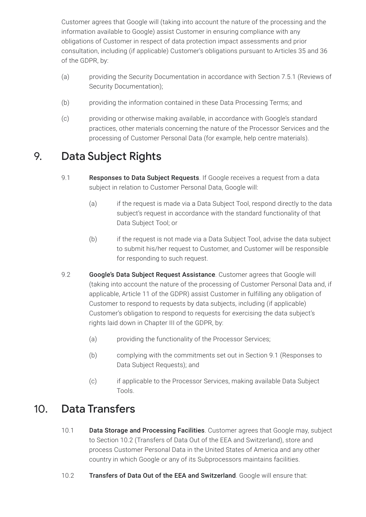Customer agrees that Google will (taking into account the nature of the processing and the information available to Google) assist Customer in ensuring compliance with any obligations of Customer in respect of data protection impact assessments and prior consultation, including (if applicable) Customer's obligations pursuant to Articles 35 and 36 of the GDPR, by:

- (a) providing the Security Documentation in accordance with Section 7.5.1 (Reviews of Security Documentation);
- (b) providing the information contained in these Data Processing Terms; and
- (c) providing or otherwise making available, in accordance with Google's standard practices, other materials concerning the nature of the Processor Services and the processing of Customer Personal Data (for example, help centre materials).

# 9. Data Subject Rights

- 9.1 Responses to Data Subject Requests. If Google receives a request from a data subject in relation to Customer Personal Data, Google will:
	- (a) if the request is made via a Data Subject Tool, respond directly to the data subject's request in accordance with the standard functionality of that Data Subject Tool; or
	- (b) if the request is not made via a Data Subject Tool, advise the data subject to submit his/her request to Customer, and Customer will be responsible for responding to such request.
- 9.2 Google's Data Subject Request Assistance. Customer agrees that Google will (taking into account the nature of the processing of Customer Personal Data and, if applicable, Article 11 of the GDPR) assist Customer in fulfilling any obligation of Customer to respond to requests by data subjects, including (if applicable) Customer's obligation to respond to requests for exercising the data subject's rights laid down in Chapter III of the GDPR, by:
	- (a) providing the functionality of the Processor Services;
	- (b) complying with the commitments set out in Section 9.1 (Responses to Data Subject Requests); and
	- (c) if applicable to the Processor Services, making available Data Subject Tools.

### 10. Data Transfers

- 10.1 Data Storage and Processing Facilities. Customer agrees that Google may, subject to Section 10.2 (Transfers of Data Out of the EEA and Switzerland), store and process Customer Personal Data in the United States of America and any other country in which Google or any of its Subprocessors maintains facilities.
- 10.2 Transfers of Data Out of the EEA and Switzerland. Google will ensure that: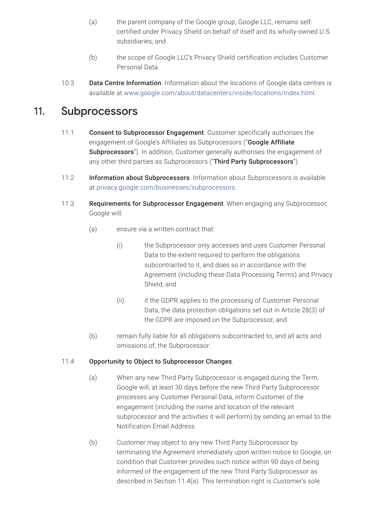- (a) the parent company of the Google group, Google LLC, remains selfcertified under Privacy Shield on behalf of itself and its wholly-owned U.S. subsidiaries; and
- (b) the scope of Google LLC's Privacy Shield certification includes Customer Personal Data.
- 10.3 Data Centre Information. Information about the locations of Google data centres is available at [www.google.com/about/datacenters/inside/locations/index.html.](https://www.google.com/about/datacenters/inside/locations/index.html)

### 11. Subprocessors

- 11.1 **Consent to Subprocessor Engagement**. Customer specifically authorises the engagement of Google's Affiliates as Subprocessors ("Google Affiliate Subprocessors"). In addition, Customer generally authorises the engagement of any other third parties as Subprocessors ("Third Party Subprocessors").
- 11.2 Information about Subprocessors. Information about Subprocessors is available at [privacy.google.com/businesses/subprocessors.](https://privacy.google.com/businesses/subprocessors)
- 11.3 Requirements for Subprocessor Engagement. When engaging any Subprocessor, Google will:
	- (a) ensure via a written contract that:
		- (i) the Subprocessor only accesses and uses Customer Personal Data to the extent required to perform the obligations subcontracted to it, and does so in accordance with the Agreement (including these Data Processing Terms) and Privacy Shield; and
		- (ii) if the GDPR applies to the processing of Customer Personal Data, the data protection obligations set out in Article 28(3) of the GDPR are imposed on the Subprocessor; and
	- (b) remain fully liable for all obligations subcontracted to, and all acts and omissions of, the Subprocessor.

#### 11.4 Opportunity to Object to Subprocessor Changes.

- (a) When any new Third Party Subprocessor is engaged during the Term, Google will, at least 30 days before the new Third Party Subprocessor processes any Customer Personal Data, inform Customer of the engagement (including the name and location of the relevant subprocessor and the activities it will perform) by sending an email to the Notification Email Address.
- (b) Customer may object to any new Third Party Subprocessor by terminating the Agreement immediately upon written notice to Google, on condition that Customer provides such notice within 90 days of being informed of the engagement of the new Third Party Subprocessor as described in Section 11.4(a). This termination right is Customer's sole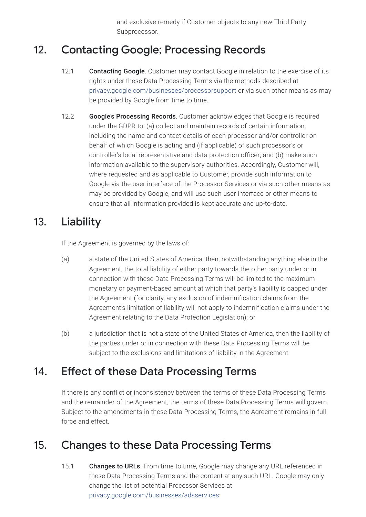and exclusive remedy if Customer objects to any new Third Party Subprocessor.

# 12. Contacting Google; Processing Records

- 12.1 Contacting Google. Customer may contact Google in relation to the exercise of its rights under these Data Processing Terms via the methods described at [privacy.google.com/businesses/processorsupport](https://privacy.google.com/businesses/processorsupport/) or via such other means as may be provided by Google from time to time.
- 12.2 Google's Processing Records. Customer acknowledges that Google is required under the GDPR to: (a) collect and maintain records of certain information, including the name and contact details of each processor and/or controller on behalf of which Google is acting and (if applicable) of such processor's or controller's local representative and data protection officer; and (b) make such information available to the supervisory authorities. Accordingly, Customer will, where requested and as applicable to Customer, provide such information to Google via the user interface of the Processor Services or via such other means as may be provided by Google, and will use such user interface or other means to ensure that all information provided is kept accurate and up-to-date.

### 13. Liability

If the Agreement is governed by the laws of:

- (a) a state of the United States of America, then, notwithstanding anything else in the Agreement, the total liability of either party towards the other party under or in connection with these Data Processing Terms will be limited to the maximum monetary or payment-based amount at which that party's liability is capped under the Agreement (for clarity, any exclusion of indemnification claims from the Agreement's limitation of liability will not apply to indemnification claims under the Agreement relating to the Data Protection Legislation); or
- (b) a jurisdiction that is not a state of the United States of America, then the liability of the parties under or in connection with these Data Processing Terms will be subject to the exclusions and limitations of liability in the Agreement.

# 14. Effect of these Data Processing Terms

If there is any conflict or inconsistency between the terms of these Data Processing Terms and the remainder of the Agreement, the terms of these Data Processing Terms will govern. Subject to the amendments in these Data Processing Terms, the Agreement remains in full force and effect.

# 15. Changes to these Data Processing Terms

15.1 Changes to URLs. From time to time, Google may change any URL referenced in these Data Processing Terms and the content at any such URL. Google may only change the list of potential Processor Services at [privacy.google.com/businesses/adsservices](https://privacy.google.com/businesses/adsservices/):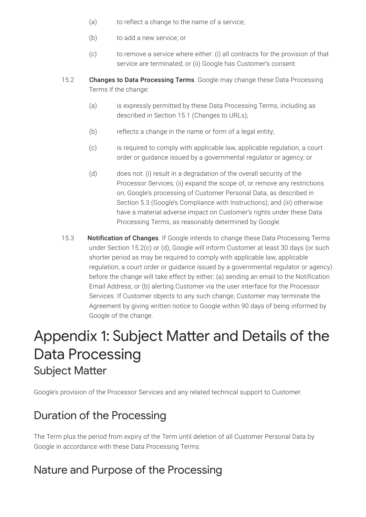- (a) to reflect a change to the name of a service;
- (b) to add a new service; or
- (c) to remove a service where either: (i) all contracts for the provision of that service are terminated; or (ii) Google has Customer's consent.
- 15.2 Changes to Data Processing Terms. Google may change these Data Processing Terms if the change:
	- (a) is expressly permitted by these Data Processing Terms, including as described in Section 15.1 (Changes to URLs);
	- (b) reflects a change in the name or form of a legal entity;
	- (c) is required to comply with applicable law, applicable regulation, a court order or guidance issued by a governmental regulator or agency; or
	- (d) does not: (i) result in a degradation of the overall security of the Processor Services; (ii) expand the scope of, or remove any restrictions on, Google's processing of Customer Personal Data, as described in Section 5.3 (Google's Compliance with Instructions); and (iii) otherwise have a material adverse impact on Customer's rights under these Data Processing Terms, as reasonably determined by Google.
- 15.3 Notification of Changes. If Google intends to change these Data Processing Terms under Section 15.2(c) or (d), Google will inform Customer at least 30 days (or such shorter period as may be required to comply with applicable law, applicable regulation, a court order or guidance issued by a governmental regulator or agency) before the change will take effect by either: (a) sending an email to the Notification Email Address; or (b) alerting Customer via the user interface for the Processor Services. If Customer objects to any such change, Customer may terminate the Agreement by giving written notice to Google within 90 days of being informed by Google of the change.

# Appendix 1: Subject Matter and Details of the Data Processing Subject Matter

Google's provision of the Processor Services and any related technical support to Customer.

### Duration of the Processing

The Term plus the period from expiry of the Term until deletion of all Customer Personal Data by Google in accordance with these Data Processing Terms.

### Nature and Purpose of the Processing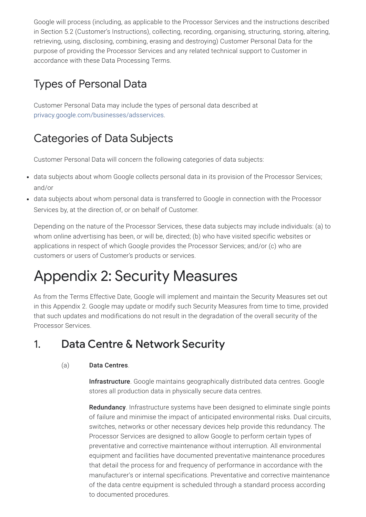Google will process (including, as applicable to the Processor Services and the instructions described in Section 5.2 (Customer's Instructions), collecting, recording, organising, structuring, storing, altering, retrieving, using, disclosing, combining, erasing and destroying) Customer Personal Data for the purpose of providing the Processor Services and any related technical support to Customer in accordance with these Data Processing Terms.

# Types of Personal Data

Customer Personal Data may include the types of personal data described at [privacy.google.com/businesses/adsservices](https://privacy.google.com/businesses/adsservices/).

# Categories of Data Subjects

Customer Personal Data will concern the following categories of data subjects:

- data subjects about whom Google collects personal data in its provision of the Processor Services; and/or
- data subjects about whom personal data is transferred to Google in connection with the Processor Services by, at the direction of, or on behalf of Customer.

Depending on the nature of the Processor Services, these data subjects may include individuals: (a) to whom online advertising has been, or will be, directed; (b) who have visited specific websites or applications in respect of which Google provides the Processor Services; and/or (c) who are customers or users of Customer's products or services.

# Appendix 2: Security Measures

As from the Terms Effective Date, Google will implement and maintain the Security Measures set out in this Appendix 2. Google may update or modify such Security Measures from time to time, provided that such updates and modifications do not result in the degradation of the overall security of the Processor Services.

# 1. Data Centre & Network Security

### (a) Data Centres.

Infrastructure. Google maintains geographically distributed data centres. Google stores all production data in physically secure data centres.

Redundancy. Infrastructure systems have been designed to eliminate single points of failure and minimise the impact of anticipated environmental risks. Dual circuits, switches, networks or other necessary devices help provide this redundancy. The Processor Services are designed to allow Google to perform certain types of preventative and corrective maintenance without interruption. All environmental equipment and facilities have documented preventative maintenance procedures that detail the process for and frequency of performance in accordance with the manufacturer's or internal specifications. Preventative and corrective maintenance of the data centre equipment is scheduled through a standard process according to documented procedures.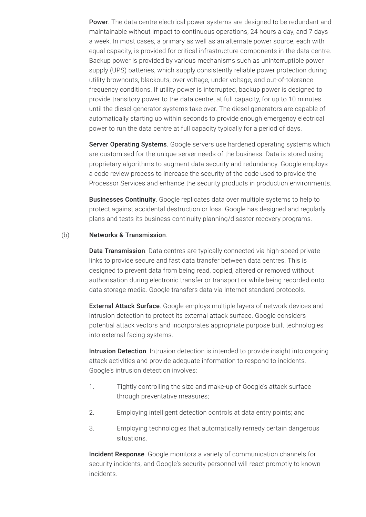Power. The data centre electrical power systems are designed to be redundant and maintainable without impact to continuous operations, 24 hours a day, and 7 days a week. In most cases, a primary as well as an alternate power source, each with equal capacity, is provided for critical infrastructure components in the data centre. Backup power is provided by various mechanisms such as uninterruptible power supply (UPS) batteries, which supply consistently reliable power protection during utility brownouts, blackouts, over voltage, under voltage, and out-of-tolerance frequency conditions. If utility power is interrupted, backup power is designed to provide transitory power to the data centre, at full capacity, for up to 10 minutes until the diesel generator systems take over. The diesel generators are capable of automatically starting up within seconds to provide enough emergency electrical power to run the data centre at full capacity typically for a period of days.

Server Operating Systems. Google servers use hardened operating systems which are customised for the unique server needs of the business. Data is stored using proprietary algorithms to augment data security and redundancy. Google employs a code review process to increase the security of the code used to provide the Processor Services and enhance the security products in production environments.

**Businesses Continuity**. Google replicates data over multiple systems to help to protect against accidental destruction or loss. Google has designed and regularly plans and tests its business continuity planning/disaster recovery programs.

#### (b) Networks & Transmission.

Data Transmission. Data centres are typically connected via high-speed private links to provide secure and fast data transfer between data centres. This is designed to prevent data from being read, copied, altered or removed without authorisation during electronic transfer or transport or while being recorded onto data storage media. Google transfers data via Internet standard protocols.

External Attack Surface. Google employs multiple layers of network devices and intrusion detection to protect its external attack surface. Google considers potential attack vectors and incorporates appropriate purpose built technologies into external facing systems.

Intrusion Detection. Intrusion detection is intended to provide insight into ongoing attack activities and provide adequate information to respond to incidents. Google's intrusion detection involves:

- 1. Tightly controlling the size and make-up of Google's attack surface through preventative measures;
- 2. Employing intelligent detection controls at data entry points; and
- 3. Employing technologies that automatically remedy certain dangerous situations.

Incident Response. Google monitors a variety of communication channels for security incidents, and Google's security personnel will react promptly to known incidents.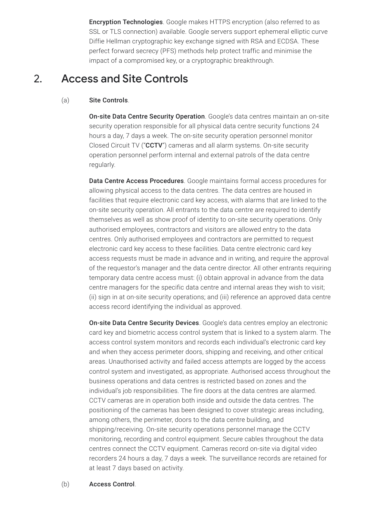Encryption Technologies. Google makes HTTPS encryption (also referred to as SSL or TLS connection) available. Google servers support ephemeral elliptic curve Diffie Hellman cryptographic key exchange signed with RSA and ECDSA. These perfect forward secrecy (PFS) methods help protect traffic and minimise the impact of a compromised key, or a cryptographic breakthrough.

# 2. Access and Site Controls

#### (a) Site Controls.

On-site Data Centre Security Operation. Google's data centres maintain an on-site security operation responsible for all physical data centre security functions 24 hours a day, 7 days a week. The on-site security operation personnel monitor Closed Circuit TV ("CCTV") cameras and all alarm systems. On-site security operation personnel perform internal and external patrols of the data centre regularly.

Data Centre Access Procedures. Google maintains formal access procedures for allowing physical access to the data centres. The data centres are housed in facilities that require electronic card key access, with alarms that are linked to the on-site security operation. All entrants to the data centre are required to identify themselves as well as show proof of identity to on-site security operations. Only authorised employees, contractors and visitors are allowed entry to the data centres. Only authorised employees and contractors are permitted to request electronic card key access to these facilities. Data centre electronic card key access requests must be made in advance and in writing, and require the approval of the requestor's manager and the data centre director. All other entrants requiring temporary data centre access must: (i) obtain approval in advance from the data centre managers for the specific data centre and internal areas they wish to visit; (ii) sign in at on-site security operations; and (iii) reference an approved data centre access record identifying the individual as approved.

On-site Data Centre Security Devices. Google's data centres employ an electronic card key and biometric access control system that is linked to a system alarm. The access control system monitors and records each individual's electronic card key and when they access perimeter doors, shipping and receiving, and other critical areas. Unauthorised activity and failed access attempts are logged by the access control system and investigated, as appropriate. Authorised access throughout the business operations and data centres is restricted based on zones and the individual's job responsibilities. The fire doors at the data centres are alarmed. CCTV cameras are in operation both inside and outside the data centres. The positioning of the cameras has been designed to cover strategic areas including, among others, the perimeter, doors to the data centre building, and shipping/receiving. On-site security operations personnel manage the CCTV monitoring, recording and control equipment. Secure cables throughout the data centres connect the CCTV equipment. Cameras record on-site via digital video recorders 24 hours a day, 7 days a week. The surveillance records are retained for at least 7 days based on activity.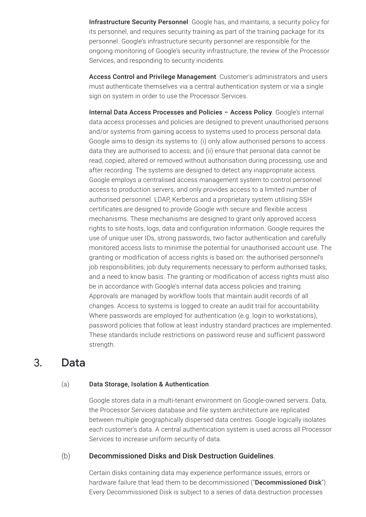Infrastructure Security Personnel. Google has, and maintains, a security policy for its personnel, and requires security training as part of the training package for its personnel. Google's infrastructure security personnel are responsible for the ongoing monitoring of Google's security infrastructure, the review of the Processor Services, and responding to security incidents.

Access Control and Privilege Management. Customer's administrators and users must authenticate themselves via a central authentication system or via a single sign on system in order to use the Processor Services.

Internal Data Access Processes and Policies – Access Policy. Google's internal data access processes and policies are designed to prevent unauthorised persons and/or systems from gaining access to systems used to process personal data. Google aims to design its systems to: (i) only allow authorised persons to access data they are authorised to access; and (ii) ensure that personal data cannot be read, copied, altered or removed without authorisation during processing, use and after recording. The systems are designed to detect any inappropriate access. Google employs a centralised access management system to control personnel access to production servers, and only provides access to a limited number of authorised personnel. LDAP, Kerberos and a proprietary system utilising SSH certificates are designed to provide Google with secure and flexible access mechanisms. These mechanisms are designed to grant only approved access rights to site hosts, logs, data and configuration information. Google requires the use of unique user IDs, strong passwords, two factor authentication and carefully monitored access lists to minimise the potential for unauthorised account use. The granting or modification of access rights is based on: the authorised personnel's job responsibilities; job duty requirements necessary to perform authorised tasks; and a need to know basis. The granting or modification of access rights must also be in accordance with Google's internal data access policies and training. Approvals are managed by workflow tools that maintain audit records of all changes. Access to systems is logged to create an audit trail for accountability. Where passwords are employed for authentication (e.g. login to workstations), password policies that follow at least industry standard practices are implemented. These standards include restrictions on password reuse and sufficient password strength.

### 3. Data

#### (a) Data Storage, Isolation & Authentication.

Google stores data in a multi-tenant environment on Google-owned servers. Data, the Processor Services database and file system architecture are replicated between multiple geographically dispersed data centres. Google logically isolates each customer's data. A central authentication system is used across all Processor Services to increase uniform security of data.

#### (b) Decommissioned Disks and Disk Destruction Guidelines.

Certain disks containing data may experience performance issues, errors or hardware failure that lead them to be decommissioned ("Decommissioned Disk"). Every Decommissioned Disk is subject to a series of data destruction processes